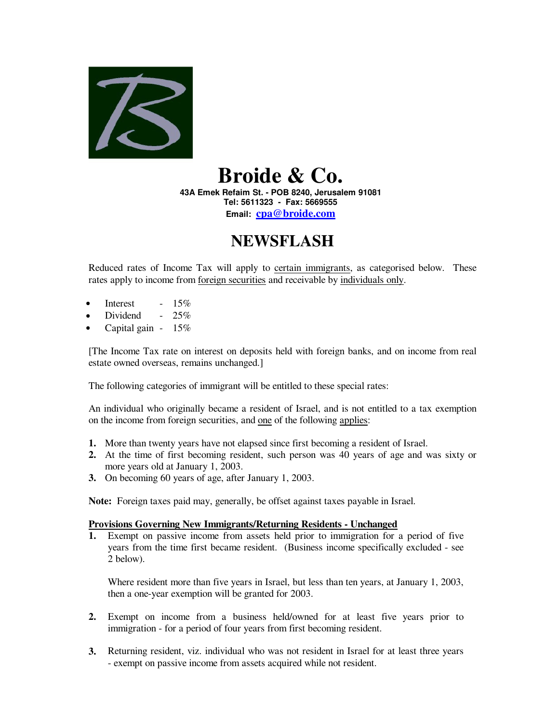

## **Broide & Co.**

**43A Emek Refaim St. - POB 8240, Jerusalem 91081 Tel: 5611323 - Fax: 5669555 Email: cpa@broide.com**

## **NEWSFLASH**

Reduced rates of Income Tax will apply to certain immigrants, as categorised below. These rates apply to income from foreign securities and receivable by individuals only.

- Interest  $15\%$
- Dividend  $25%$
- Capital gain  $15\%$

[The Income Tax rate on interest on deposits held with foreign banks, and on income from real estate owned overseas, remains unchanged.]

The following categories of immigrant will be entitled to these special rates:

An individual who originally became a resident of Israel, and is not entitled to a tax exemption on the income from foreign securities, and one of the following applies:

- **1.** More than twenty years have not elapsed since first becoming a resident of Israel.
- **2.** At the time of first becoming resident, such person was 40 years of age and was sixty or more years old at January 1, 2003.
- **3.** On becoming 60 years of age, after January 1, 2003.

**Note:** Foreign taxes paid may, generally, be offset against taxes payable in Israel.

## **Provisions Governing New Immigrants/Returning Residents - Unchanged**

**1.** Exempt on passive income from assets held prior to immigration for a period of five years from the time first became resident. (Business income specifically excluded - see 2 below).

Where resident more than five years in Israel, but less than ten years, at January 1, 2003, then a one-year exemption will be granted for 2003.

- **2.** Exempt on income from a business held/owned for at least five years prior to immigration - for a period of four years from first becoming resident.
- **3.** Returning resident, viz. individual who was not resident in Israel for at least three years - exempt on passive income from assets acquired while not resident.